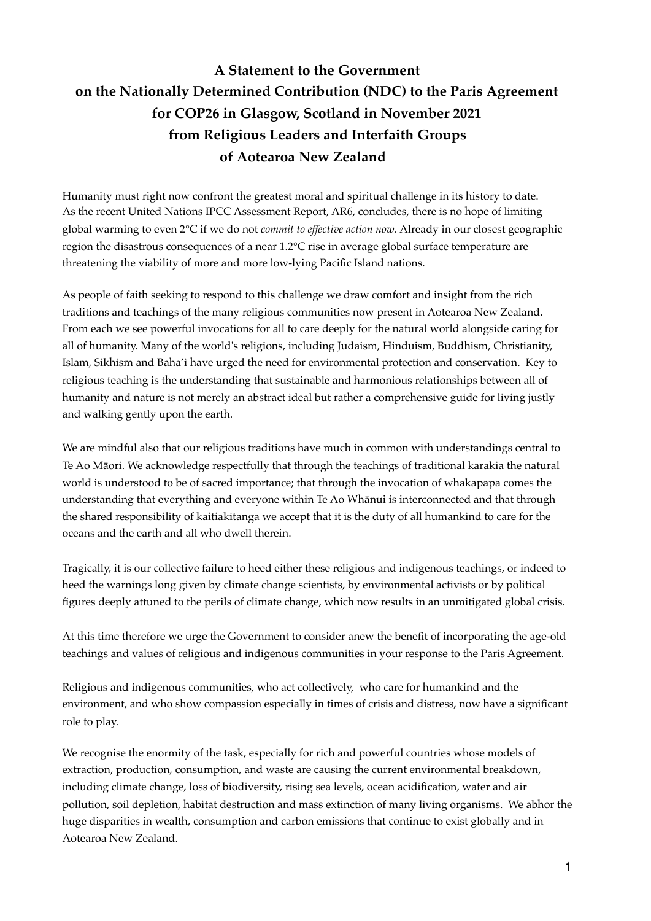## **A Statement to the Government on the Nationally Determined Contribution (NDC) to the Paris Agreement for COP26 in Glasgow, Scotland in November 2021 from Religious Leaders and Interfaith Groups of Aotearoa New Zealand**

Humanity must right now confront the greatest moral and spiritual challenge in its history to date. As the recent United Nations IPCC Assessment Report, AR6, concludes, there is no hope of limiting global warming to even 2°C if we do not *commit to effective action now*. Already in our closest geographic region the disastrous consequences of a near 1.2℃ rise in average global surface temperature are threatening the viability of more and more low-lying Pacific Island nations.

As people of faith seeking to respond to this challenge we draw comfort and insight from the rich traditions and teachings of the many religious communities now present in Aotearoa New Zealand. From each we see powerful invocations for all to care deeply for the natural world alongside caring for all of humanity. Many of the world's religions, including Judaism, Hinduism, Buddhism, Christianity, Islam, Sikhism and Baha'i have urged the need for environmental protection and conservation. Key to religious teaching is the understanding that sustainable and harmonious relationships between all of humanity and nature is not merely an abstract ideal but rather a comprehensive guide for living justly and walking gently upon the earth.

We are mindful also that our religious traditions have much in common with understandings central to Te Ao Māori. We acknowledge respectfully that through the teachings of traditional karakia the natural world is understood to be of sacred importance; that through the invocation of whakapapa comes the understanding that everything and everyone within Te Ao Whānui is interconnected and that through the shared responsibility of kaitiakitanga we accept that it is the duty of all humankind to care for the oceans and the earth and all who dwell therein.

Tragically, it is our collective failure to heed either these religious and indigenous teachings, or indeed to heed the warnings long given by climate change scientists, by environmental activists or by political figures deeply attuned to the perils of climate change, which now results in an unmitigated global crisis.

At this time therefore we urge the Government to consider anew the benefit of incorporating the age-old teachings and values of religious and indigenous communities in your response to the Paris Agreement.

Religious and indigenous communities, who act collectively, who care for humankind and the environment, and who show compassion especially in times of crisis and distress, now have a significant role to play.

We recognise the enormity of the task, especially for rich and powerful countries whose models of extraction, production, consumption, and waste are causing the current environmental breakdown, including climate change, loss of biodiversity, rising sea levels, ocean acidification, water and air pollution, soil depletion, habitat destruction and mass extinction of many living organisms. We abhor the huge disparities in wealth, consumption and carbon emissions that continue to exist globally and in Aotearoa New Zealand.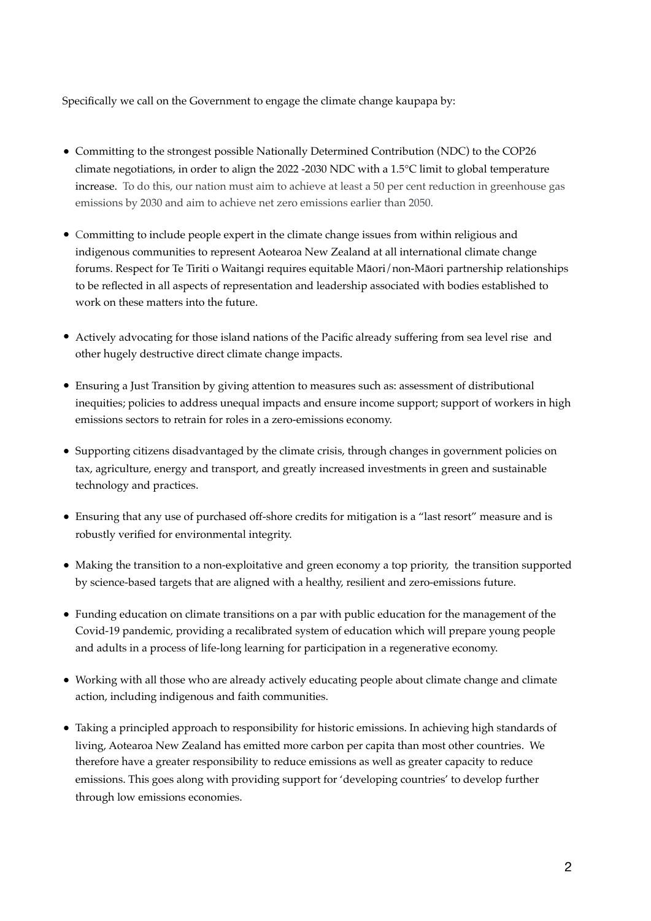Specifically we call on the Government to engage the climate change kaupapa by:

- Committing to the strongest possible Nationally Determined Contribution (NDC) to the COP26 climate negotiations, in order to align the 2022 -2030 NDC with a 1.5℃ limit to global temperature increase. To do this, our nation must aim to achieve at least a 50 per cent reduction in greenhouse gas emissions by 2030 and aim to achieve net zero emissions earlier than 2050.
- Committing to include people expert in the climate change issues from within religious and indigenous communities to represent Aotearoa New Zealand at all international climate change forums. Respect for Te Tiriti o Waitangi requires equitable Māori/non-Māori partnership relationships to be reflected in all aspects of representation and leadership associated with bodies established to work on these matters into the future.
- Actively advocating for those island nations of the Pacific already suffering from sea level rise and other hugely destructive direct climate change impacts.
- Ensuring a Just Transition by giving attention to measures such as: assessment of distributional inequities; policies to address unequal impacts and ensure income support; support of workers in high emissions sectors to retrain for roles in a zero-emissions economy.
- Supporting citizens disadvantaged by the climate crisis, through changes in government policies on tax, agriculture, energy and transport, and greatly increased investments in green and sustainable technology and practices.
- Ensuring that any use of purchased off-shore credits for mitigation is a "last resort" measure and is robustly verified for environmental integrity.
- Making the transition to a non-exploitative and green economy a top priority, the transition supported by science-based targets that are aligned with a healthy, resilient and zero-emissions future.
- Funding education on climate transitions on a par with public education for the management of the Covid-19 pandemic, providing a recalibrated system of education which will prepare young people and adults in a process of life-long learning for participation in a regenerative economy.
- Working with all those who are already actively educating people about climate change and climate action, including indigenous and faith communities.
- Taking a principled approach to responsibility for historic emissions. In achieving high standards of living, Aotearoa New Zealand has emitted more carbon per capita than most other countries. We therefore have a greater responsibility to reduce emissions as well as greater capacity to reduce emissions. This goes along with providing support for 'developing countries' to develop further through low emissions economies.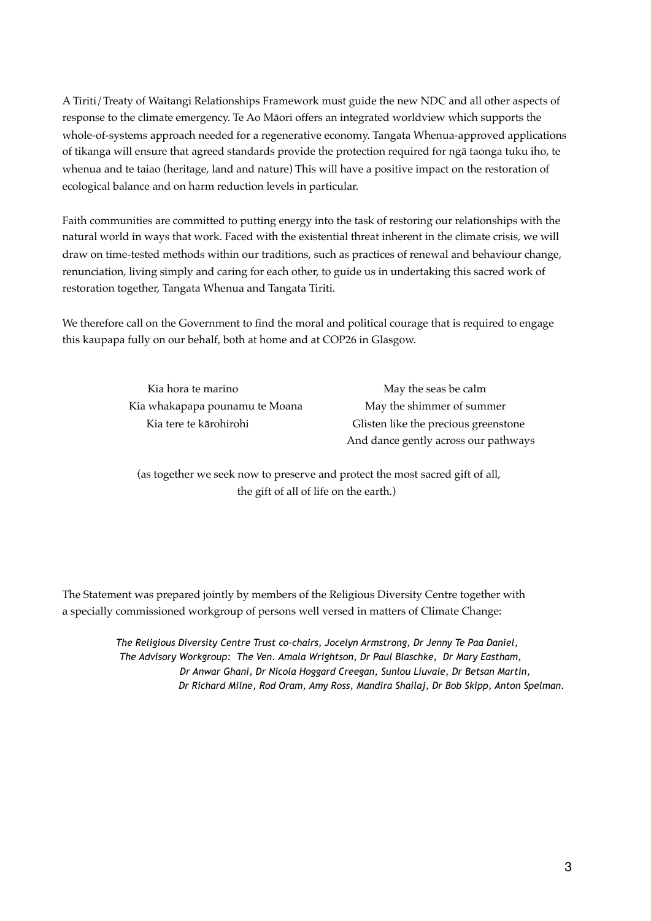A Tiriti/Treaty of Waitangi Relationships Framework must guide the new NDC and all other aspects of response to the climate emergency. Te Ao Māori offers an integrated worldview which supports the whole-of-systems approach needed for a regenerative economy. Tangata Whenua-approved applications of tikanga will ensure that agreed standards provide the protection required for ngā taonga tuku iho, te whenua and te taiao (heritage, land and nature) This will have a positive impact on the restoration of ecological balance and on harm reduction levels in particular.

Faith communities are committed to putting energy into the task of restoring our relationships with the natural world in ways that work. Faced with the existential threat inherent in the climate crisis, we will draw on time-tested methods within our traditions, such as practices of renewal and behaviour change, renunciation, living simply and caring for each other, to guide us in undertaking this sacred work of restoration together, Tangata Whenua and Tangata Tiriti.

We therefore call on the Government to find the moral and political courage that is required to engage this kaupapa fully on our behalf, both at home and at COP26 in Glasgow.

> Kia hora te marino May the seas be calm Kia whakapapa pounamu te Moana May the shimmer of summer

Kia tere te kārohirohi Glisten like the precious greenstone And dance gently across our pathways

 (as together we seek now to preserve and protect the most sacred gift of all, the gift of all of life on the earth.)

The Statement was prepared jointly by members of the Religious Diversity Centre together with a specially commissioned workgroup of persons well versed in matters of Climate Change:

> *The Religious Diversity Centre Trust co-chairs, Jocelyn Armstrong, Dr Jenny Te Paa Daniel, The Advisory Workgroup: The Ven. Amala Wrightson, Dr Paul Blaschke, Dr Mary Eastham, Dr Anwar Ghani, Dr Nicola Hoggard Creegan, Sunlou Liuvaie, Dr Betsan Martin, Dr Richard Milne, Rod Oram, Amy Ross, Mandira Shailaj, Dr Bob Skipp, Anton Spelman.*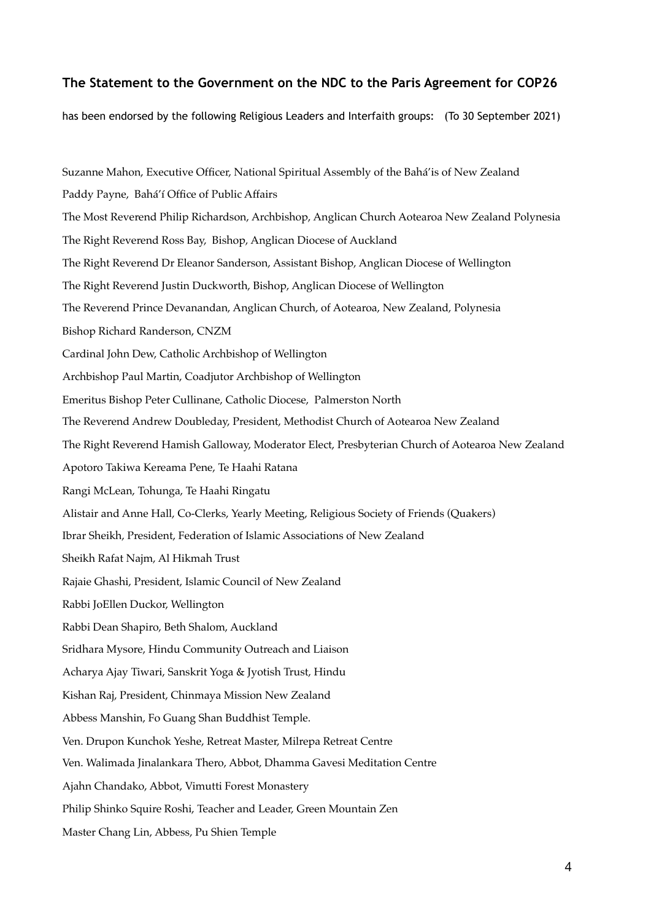## **The Statement to the Government on the NDC to the Paris Agreement for COP26**

has been endorsed by the following Religious Leaders and Interfaith groups: (To 30 September 2021)

Suzanne Mahon, Executive Officer, National Spiritual Assembly of the Bahá'is of New Zealand Paddy Payne, Bahá'í Office of Public Affairs The Most Reverend Philip Richardson, Archbishop, Anglican Church Aotearoa New Zealand Polynesia The Right Reverend Ross Bay, Bishop, Anglican Diocese of Auckland The Right Reverend Dr Eleanor Sanderson, Assistant Bishop, Anglican Diocese of Wellington The Right Reverend Justin Duckworth, Bishop, Anglican Diocese of Wellington The Reverend Prince Devanandan, Anglican Church, of Aotearoa, New Zealand, Polynesia Bishop Richard Randerson, CNZM Cardinal John Dew, Catholic Archbishop of Wellington Archbishop Paul Martin, Coadjutor Archbishop of Wellington Emeritus Bishop Peter Cullinane, Catholic Diocese, Palmerston North The Reverend Andrew Doubleday, President, Methodist Church of Aotearoa New Zealand The Right Reverend Hamish Galloway, Moderator Elect, Presbyterian Church of Aotearoa New Zealand Apotoro Takiwa Kereama Pene, Te Haahi Ratana Rangi McLean, Tohunga, Te Haahi Ringatu Alistair and Anne Hall, Co-Clerks, Yearly Meeting, Religious Society of Friends (Quakers) Ibrar Sheikh, President, Federation of Islamic Associations of New Zealand Sheikh Rafat Najm, Al Hikmah Trust Rajaie Ghashi, President, Islamic Council of New Zealand Rabbi JoEllen Duckor, Wellington Rabbi Dean Shapiro, Beth Shalom, Auckland Sridhara Mysore, Hindu Community Outreach and Liaison Acharya Ajay Tiwari, Sanskrit Yoga & Jyotish Trust, Hindu Kishan Raj, President, Chinmaya Mission New Zealand Abbess Manshin, Fo Guang Shan Buddhist Temple. Ven. Drupon Kunchok Yeshe, Retreat Master, Milrepa Retreat Centre Ven. Walimada Jinalankara Thero, Abbot, Dhamma Gavesi Meditation Centre Ajahn Chandako, Abbot, Vimutti Forest Monastery Philip Shinko Squire Roshi, Teacher and Leader, Green Mountain Zen Master Chang Lin, Abbess, Pu Shien Temple